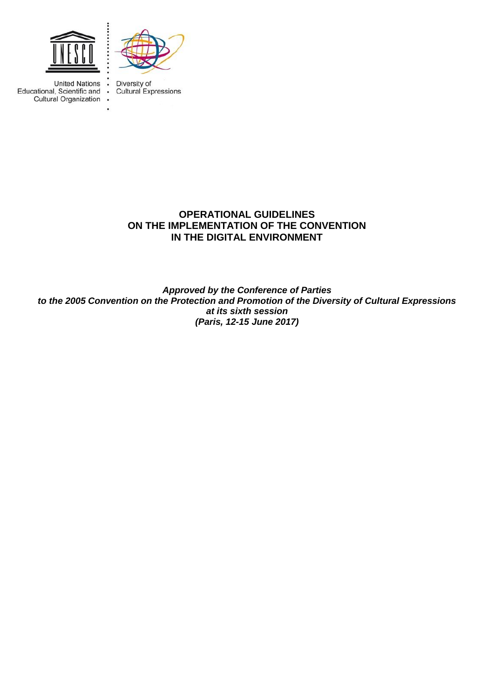

 $\cdot$ 

۰.



**United Nations** Educational, Scientific and • Cultural Organization .

Diversity of Cultural Expressions

# **OPERATIONAL GUIDELINES ON THE IMPLEMENTATION OF THE CONVENTION IN THE DIGITAL ENVIRONMENT**

*Approved by the Conference of Parties to the 2005 Convention on the Protection and Promotion of the Diversity of Cultural Expressions at its sixth session (Paris, 12-15 June 2017)*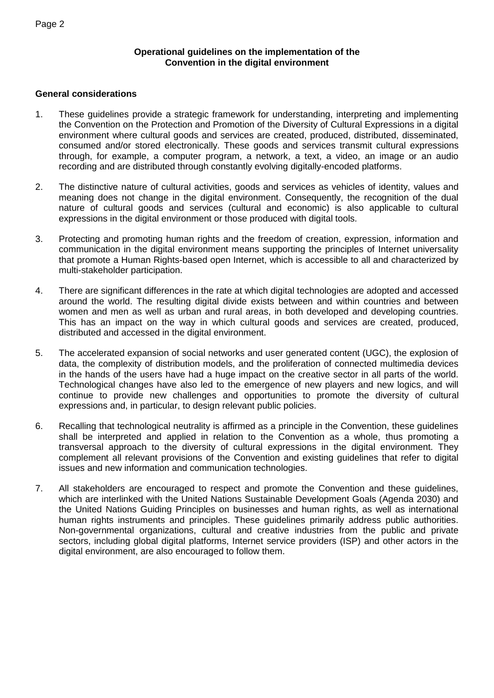## **Operational guidelines on the implementation of the Convention in the digital environment**

# **General considerations**

- 1. These guidelines provide a strategic framework for understanding, interpreting and implementing the Convention on the Protection and Promotion of the Diversity of Cultural Expressions in a digital environment where cultural goods and services are created, produced, distributed, disseminated, consumed and/or stored electronically. These goods and services transmit cultural expressions through, for example, a computer program, a network, a text, a video, an image or an audio recording and are distributed through constantly evolving digitally-encoded platforms.
- 2. The distinctive nature of cultural activities, goods and services as vehicles of identity, values and meaning does not change in the digital environment. Consequently, the recognition of the dual nature of cultural goods and services (cultural and economic) is also applicable to cultural expressions in the digital environment or those produced with digital tools.
- 3. Protecting and promoting human rights and the freedom of creation, expression, information and communication in the digital environment means supporting the principles of Internet universality that promote a Human Rights-based open Internet, which is accessible to all and characterized by multi-stakeholder participation.
- 4. There are significant differences in the rate at which digital technologies are adopted and accessed around the world. The resulting digital divide exists between and within countries and between women and men as well as urban and rural areas, in both developed and developing countries. This has an impact on the way in which cultural goods and services are created, produced, distributed and accessed in the digital environment.
- 5. The accelerated expansion of social networks and user generated content (UGC), the explosion of data, the complexity of distribution models, and the proliferation of connected multimedia devices in the hands of the users have had a huge impact on the creative sector in all parts of the world. Technological changes have also led to the emergence of new players and new logics, and will continue to provide new challenges and opportunities to promote the diversity of cultural expressions and, in particular, to design relevant public policies.
- 6. Recalling that technological neutrality is affirmed as a principle in the Convention, these guidelines shall be interpreted and applied in relation to the Convention as a whole, thus promoting a transversal approach to the diversity of cultural expressions in the digital environment. They complement all relevant provisions of the Convention and existing guidelines that refer to digital issues and new information and communication technologies.
- 7. All stakeholders are encouraged to respect and promote the Convention and these guidelines, which are interlinked with the United Nations Sustainable Development Goals (Agenda 2030) and the United Nations Guiding Principles on businesses and human rights, as well as international human rights instruments and principles. These guidelines primarily address public authorities. Non-governmental organizations, cultural and creative industries from the public and private sectors, including global digital platforms, Internet service providers (ISP) and other actors in the digital environment, are also encouraged to follow them.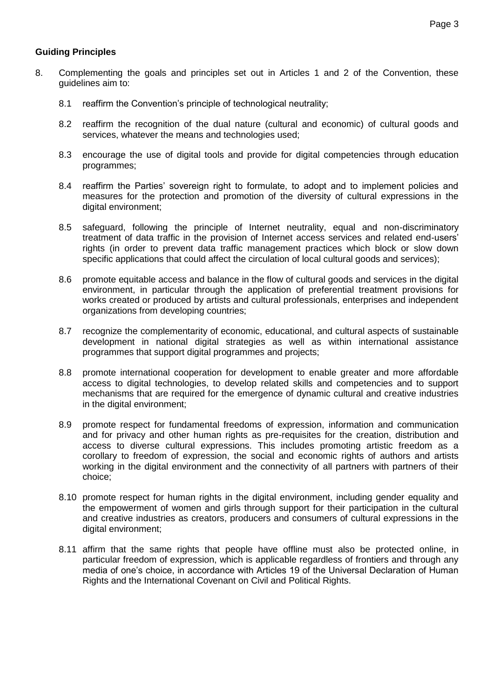# **Guiding Principles**

- 8. Complementing the goals and principles set out in Articles 1 and 2 of the Convention, these guidelines aim to:
	- 8.1 reaffirm the Convention's principle of technological neutrality;
	- 8.2 reaffirm the recognition of the dual nature (cultural and economic) of cultural goods and services, whatever the means and technologies used;
	- 8.3 encourage the use of digital tools and provide for digital competencies through education programmes;
	- 8.4 reaffirm the Parties' sovereign right to formulate, to adopt and to implement policies and measures for the protection and promotion of the diversity of cultural expressions in the digital environment;
	- 8.5 safeguard, following the principle of Internet neutrality, equal and non-discriminatory treatment of data traffic in the provision of Internet access services and related end-users' rights (in order to prevent data traffic management practices which block or slow down specific applications that could affect the circulation of local cultural goods and services);
	- 8.6 promote equitable access and balance in the flow of cultural goods and services in the digital environment, in particular through the application of preferential treatment provisions for works created or produced by artists and cultural professionals, enterprises and independent organizations from developing countries;
	- 8.7 recognize the complementarity of economic, educational, and cultural aspects of sustainable development in national digital strategies as well as within international assistance programmes that support digital programmes and projects;
	- 8.8 promote international cooperation for development to enable greater and more affordable access to digital technologies, to develop related skills and competencies and to support mechanisms that are required for the emergence of dynamic cultural and creative industries in the digital environment;
	- 8.9 promote respect for fundamental freedoms of expression, information and communication and for privacy and other human rights as pre-requisites for the creation, distribution and access to diverse cultural expressions. This includes promoting artistic freedom as a corollary to freedom of expression, the social and economic rights of authors and artists working in the digital environment and the connectivity of all partners with partners of their choice;
	- 8.10 promote respect for human rights in the digital environment, including gender equality and the empowerment of women and girls through support for their participation in the cultural and creative industries as creators, producers and consumers of cultural expressions in the digital environment;
	- 8.11 affirm that the same rights that people have offline must also be protected online, in particular freedom of expression, which is applicable regardless of frontiers and through any media of one's choice, in accordance with Articles 19 of the Universal Declaration of Human Rights and the International Covenant on Civil and Political Rights.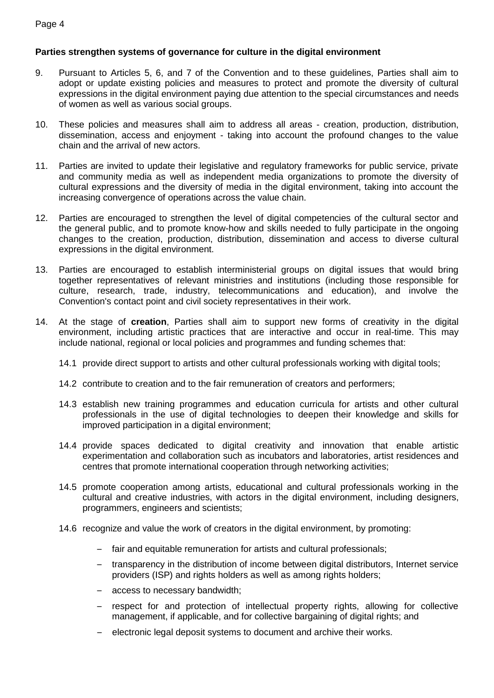#### Page 4

# **Parties strengthen systems of governance for culture in the digital environment**

- 9. Pursuant to Articles 5, 6, and 7 of the Convention and to these guidelines, Parties shall aim to adopt or update existing policies and measures to protect and promote the diversity of cultural expressions in the digital environment paying due attention to the special circumstances and needs of women as well as various social groups.
- 10. These policies and measures shall aim to address all areas creation, production, distribution, dissemination, access and enjoyment - taking into account the profound changes to the value chain and the arrival of new actors.
- 11. Parties are invited to update their legislative and regulatory frameworks for public service, private and community media as well as independent media organizations to promote the diversity of cultural expressions and the diversity of media in the digital environment, taking into account the increasing convergence of operations across the value chain.
- 12. Parties are encouraged to strengthen the level of digital competencies of the cultural sector and the general public, and to promote know-how and skills needed to fully participate in the ongoing changes to the creation, production, distribution, dissemination and access to diverse cultural expressions in the digital environment.
- 13. Parties are encouraged to establish interministerial groups on digital issues that would bring together representatives of relevant ministries and institutions (including those responsible for culture, research, trade, industry, telecommunications and education), and involve the Convention's contact point and civil society representatives in their work.
- 14. At the stage of **creation**, Parties shall aim to support new forms of creativity in the digital environment, including artistic practices that are interactive and occur in real-time. This may include national, regional or local policies and programmes and funding schemes that:
	- 14.1 provide direct support to artists and other cultural professionals working with digital tools;
	- 14.2 contribute to creation and to the fair remuneration of creators and performers;
	- 14.3 establish new training programmes and education curricula for artists and other cultural professionals in the use of digital technologies to deepen their knowledge and skills for improved participation in a digital environment;
	- 14.4 provide spaces dedicated to digital creativity and innovation that enable artistic experimentation and collaboration such as incubators and laboratories, artist residences and centres that promote international cooperation through networking activities;
	- 14.5 promote cooperation among artists, educational and cultural professionals working in the cultural and creative industries, with actors in the digital environment, including designers, programmers, engineers and scientists;
	- 14.6 recognize and value the work of creators in the digital environment, by promoting:
		- fair and equitable remuneration for artists and cultural professionals;
		- transparency in the distribution of income between digital distributors, Internet service providers (ISP) and rights holders as well as among rights holders;
		- access to necessary bandwidth;
		- respect for and protection of intellectual property rights, allowing for collective management, if applicable, and for collective bargaining of digital rights; and
		- electronic legal deposit systems to document and archive their works.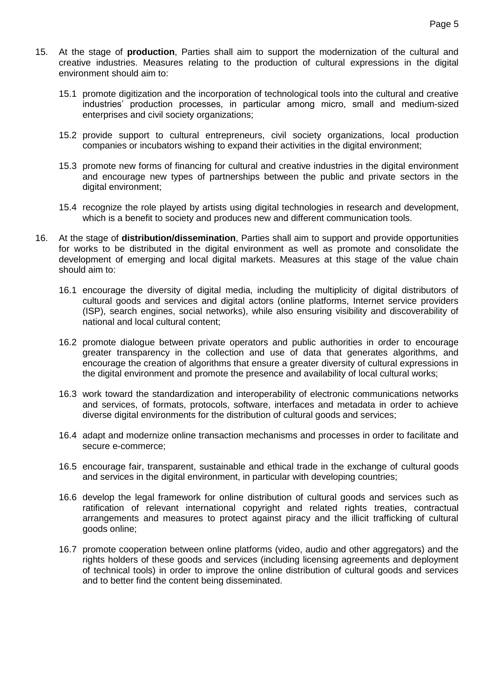- 15. At the stage of **production**, Parties shall aim to support the modernization of the cultural and creative industries. Measures relating to the production of cultural expressions in the digital environment should aim to:
	- 15.1 promote digitization and the incorporation of technological tools into the cultural and creative industries' production processes, in particular among micro, small and medium-sized enterprises and civil society organizations;
	- 15.2 provide support to cultural entrepreneurs, civil society organizations, local production companies or incubators wishing to expand their activities in the digital environment;
	- 15.3 promote new forms of financing for cultural and creative industries in the digital environment and encourage new types of partnerships between the public and private sectors in the digital environment;
	- 15.4 recognize the role played by artists using digital technologies in research and development, which is a benefit to society and produces new and different communication tools.
- 16. At the stage of **distribution/dissemination**, Parties shall aim to support and provide opportunities for works to be distributed in the digital environment as well as promote and consolidate the development of emerging and local digital markets. Measures at this stage of the value chain should aim to:
	- 16.1 encourage the diversity of digital media, including the multiplicity of digital distributors of cultural goods and services and digital actors (online platforms, Internet service providers (ISP), search engines, social networks), while also ensuring visibility and discoverability of national and local cultural content;
	- 16.2 promote dialogue between private operators and public authorities in order to encourage greater transparency in the collection and use of data that generates algorithms, and encourage the creation of algorithms that ensure a greater diversity of cultural expressions in the digital environment and promote the presence and availability of local cultural works;
	- 16.3 work toward the standardization and interoperability of electronic communications networks and services, of formats, protocols, software, interfaces and metadata in order to achieve diverse digital environments for the distribution of cultural goods and services;
	- 16.4 adapt and modernize online transaction mechanisms and processes in order to facilitate and secure e-commerce;
	- 16.5 encourage fair, transparent, sustainable and ethical trade in the exchange of cultural goods and services in the digital environment, in particular with developing countries;
	- 16.6 develop the legal framework for online distribution of cultural goods and services such as ratification of relevant international copyright and related rights treaties, contractual arrangements and measures to protect against piracy and the illicit trafficking of cultural goods online;
	- 16.7 promote cooperation between online platforms (video, audio and other aggregators) and the rights holders of these goods and services (including licensing agreements and deployment of technical tools) in order to improve the online distribution of cultural goods and services and to better find the content being disseminated.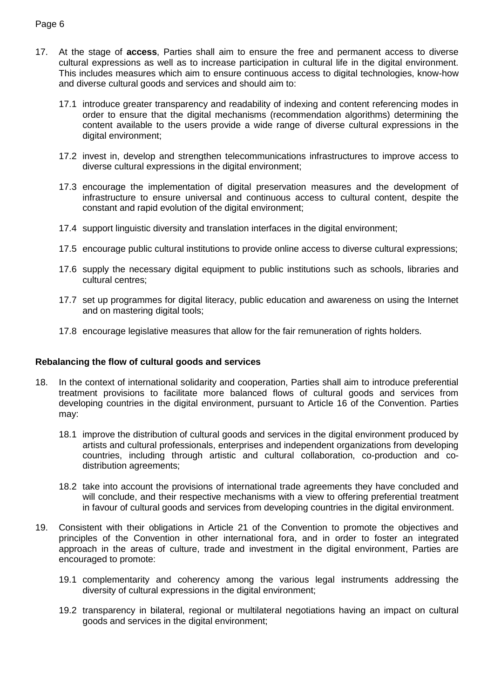## Page 6

- 17. At the stage of **access**, Parties shall aim to ensure the free and permanent access to diverse cultural expressions as well as to increase participation in cultural life in the digital environment. This includes measures which aim to ensure continuous access to digital technologies, know-how and diverse cultural goods and services and should aim to:
	- 17.1 introduce greater transparency and readability of indexing and content referencing modes in order to ensure that the digital mechanisms (recommendation algorithms) determining the content available to the users provide a wide range of diverse cultural expressions in the digital environment;
	- 17.2 invest in, develop and strengthen telecommunications infrastructures to improve access to diverse cultural expressions in the digital environment;
	- 17.3 encourage the implementation of digital preservation measures and the development of infrastructure to ensure universal and continuous access to cultural content, despite the constant and rapid evolution of the digital environment;
	- 17.4 support linguistic diversity and translation interfaces in the digital environment;
	- 17.5 encourage public cultural institutions to provide online access to diverse cultural expressions;
	- 17.6 supply the necessary digital equipment to public institutions such as schools, libraries and cultural centres;
	- 17.7 set up programmes for digital literacy, public education and awareness on using the Internet and on mastering digital tools;
	- 17.8 encourage legislative measures that allow for the fair remuneration of rights holders.

#### **Rebalancing the flow of cultural goods and services**

- 18. In the context of international solidarity and cooperation, Parties shall aim to introduce preferential treatment provisions to facilitate more balanced flows of cultural goods and services from developing countries in the digital environment, pursuant to Article 16 of the Convention. Parties may:
	- 18.1 improve the distribution of cultural goods and services in the digital environment produced by artists and cultural professionals, enterprises and independent organizations from developing countries, including through artistic and cultural collaboration, co-production and codistribution agreements;
	- 18.2 take into account the provisions of international trade agreements they have concluded and will conclude, and their respective mechanisms with a view to offering preferential treatment in favour of cultural goods and services from developing countries in the digital environment.
- 19. Consistent with their obligations in Article 21 of the Convention to promote the objectives and principles of the Convention in other international fora, and in order to foster an integrated approach in the areas of culture, trade and investment in the digital environment, Parties are encouraged to promote:
	- 19.1 complementarity and coherency among the various legal instruments addressing the diversity of cultural expressions in the digital environment;
	- 19.2 transparency in bilateral, regional or multilateral negotiations having an impact on cultural goods and services in the digital environment;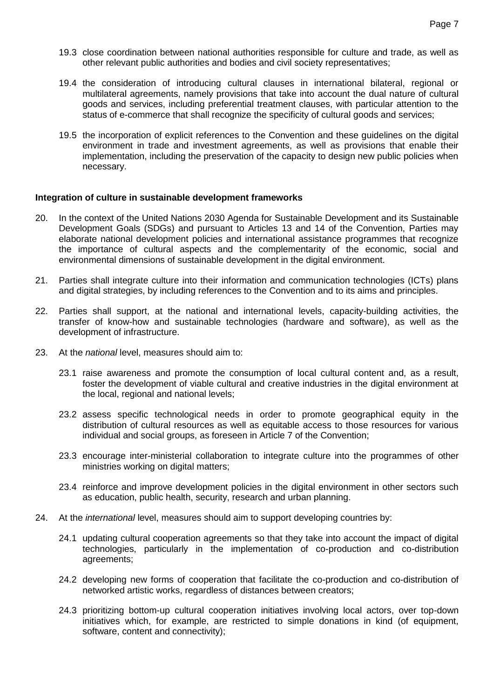- 19.3 close coordination between national authorities responsible for culture and trade, as well as other relevant public authorities and bodies and civil society representatives;
- 19.4 the consideration of introducing cultural clauses in international bilateral, regional or multilateral agreements, namely provisions that take into account the dual nature of cultural goods and services, including preferential treatment clauses, with particular attention to the status of e-commerce that shall recognize the specificity of cultural goods and services;
- 19.5 the incorporation of explicit references to the Convention and these guidelines on the digital environment in trade and investment agreements, as well as provisions that enable their implementation, including the preservation of the capacity to design new public policies when necessary.

#### **Integration of culture in sustainable development frameworks**

- 20. In the context of the United Nations 2030 Agenda for Sustainable Development and its Sustainable Development Goals (SDGs) and pursuant to Articles 13 and 14 of the Convention, Parties may elaborate national development policies and international assistance programmes that recognize the importance of cultural aspects and the complementarity of the economic, social and environmental dimensions of sustainable development in the digital environment.
- 21. Parties shall integrate culture into their information and communication technologies (ICTs) plans and digital strategies, by including references to the Convention and to its aims and principles.
- 22. Parties shall support, at the national and international levels, capacity-building activities, the transfer of know-how and sustainable technologies (hardware and software), as well as the development of infrastructure.
- 23. At the *national* level, measures should aim to:
	- 23.1 raise awareness and promote the consumption of local cultural content and, as a result, foster the development of viable cultural and creative industries in the digital environment at the local, regional and national levels;
	- 23.2 assess specific technological needs in order to promote geographical equity in the distribution of cultural resources as well as equitable access to those resources for various individual and social groups, as foreseen in Article 7 of the Convention;
	- 23.3 encourage inter-ministerial collaboration to integrate culture into the programmes of other ministries working on digital matters;
	- 23.4 reinforce and improve development policies in the digital environment in other sectors such as education, public health, security, research and urban planning.
- 24. At the *international* level, measures should aim to support developing countries by:
	- 24.1 updating cultural cooperation agreements so that they take into account the impact of digital technologies, particularly in the implementation of co-production and co-distribution agreements;
	- 24.2 developing new forms of cooperation that facilitate the co-production and co-distribution of networked artistic works, regardless of distances between creators;
	- 24.3 prioritizing bottom-up cultural cooperation initiatives involving local actors, over top-down initiatives which, for example, are restricted to simple donations in kind (of equipment, software, content and connectivity);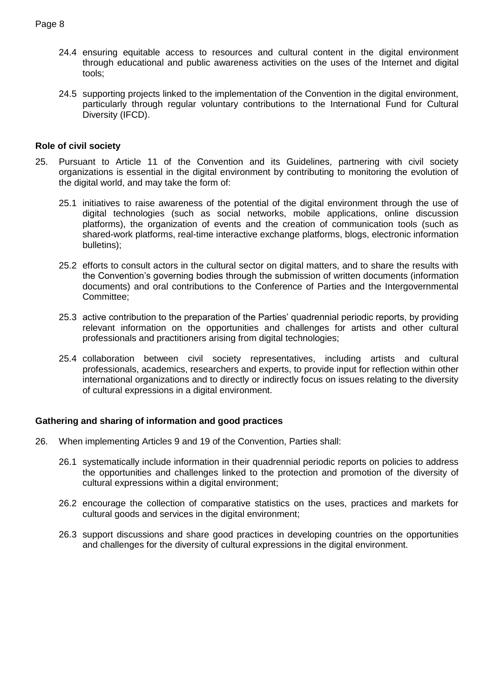- 24.4 ensuring equitable access to resources and cultural content in the digital environment through educational and public awareness activities on the uses of the Internet and digital tools;
- 24.5 supporting projects linked to the implementation of the Convention in the digital environment, particularly through regular voluntary contributions to the International Fund for Cultural Diversity (IFCD).

## **Role of civil society**

- 25. Pursuant to Article 11 of the Convention and its Guidelines, partnering with civil society organizations is essential in the digital environment by contributing to monitoring the evolution of the digital world, and may take the form of:
	- 25.1 initiatives to raise awareness of the potential of the digital environment through the use of digital technologies (such as social networks, mobile applications, online discussion platforms), the organization of events and the creation of communication tools (such as shared-work platforms, real-time interactive exchange platforms, blogs, electronic information bulletins);
	- 25.2 efforts to consult actors in the cultural sector on digital matters, and to share the results with the Convention's governing bodies through the submission of written documents (information documents) and oral contributions to the Conference of Parties and the Intergovernmental Committee;
	- 25.3 active contribution to the preparation of the Parties' quadrennial periodic reports, by providing relevant information on the opportunities and challenges for artists and other cultural professionals and practitioners arising from digital technologies;
	- 25.4 collaboration between civil society representatives, including artists and cultural professionals, academics, researchers and experts, to provide input for reflection within other international organizations and to directly or indirectly focus on issues relating to the diversity of cultural expressions in a digital environment.

## **Gathering and sharing of information and good practices**

- 26. When implementing Articles 9 and 19 of the Convention, Parties shall:
	- 26.1 systematically include information in their quadrennial periodic reports on policies to address the opportunities and challenges linked to the protection and promotion of the diversity of cultural expressions within a digital environment;
	- 26.2 encourage the collection of comparative statistics on the uses, practices and markets for cultural goods and services in the digital environment;
	- 26.3 support discussions and share good practices in developing countries on the opportunities and challenges for the diversity of cultural expressions in the digital environment.